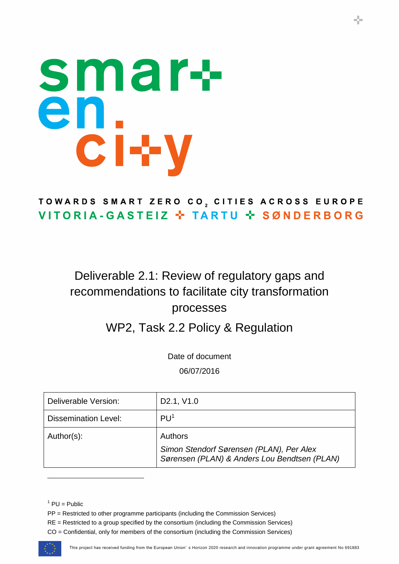# smar+ en<br>ci+y

# TOWARDS SMART ZERO CO, CITIES ACROSS EUROPE VITORIA-GASTEIZ \* TARTU \* SØNDERBORG

# Deliverable 2.1: Review of regulatory gaps and recommendations to facilitate city transformation processes

# WP2, Task 2.2 Policy & Regulation

Date of document 06/07/2016

| Deliverable Version:        | D <sub>2.1</sub> , V <sub>1.0</sub>                                                                        |
|-----------------------------|------------------------------------------------------------------------------------------------------------|
| <b>Dissemination Level:</b> | PU <sup>1</sup>                                                                                            |
| Author(s):                  | <b>Authors</b><br>Simon Stendorf Sørensen (PLAN), Per Alex<br>Sørensen (PLAN) & Anders Lou Bendtsen (PLAN) |

CO = Confidential, only for members of the consortium (including the Commission Services)



 $<sup>1</sup>$  PU = Public</sup>

PP = Restricted to other programme participants (including the Commission Services)

RE = Restricted to a group specified by the consortium (including the Commission Services)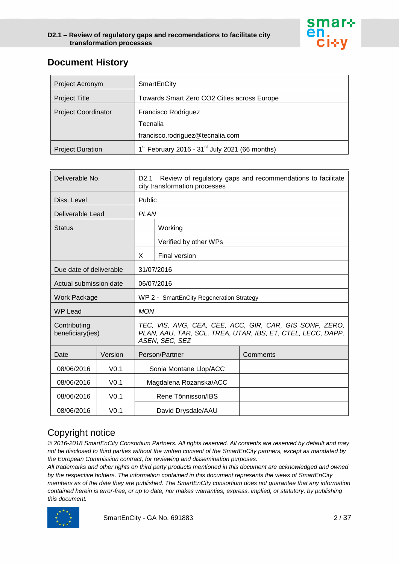

# **Document History**

| Project Acronym            | SmartEnCity                                                     |  |
|----------------------------|-----------------------------------------------------------------|--|
| <b>Project Title</b>       | Towards Smart Zero CO2 Cities across Europe                     |  |
| <b>Project Coordinator</b> | Francisco Rodriguez                                             |  |
|                            | Tecnalia                                                        |  |
|                            | francisco.rodriguez@tecnalia.com                                |  |
| <b>Project Duration</b>    | $1^{st}$ February 2016 - 31 <sup>st</sup> July 2021 (66 months) |  |

| Deliverable No.                  |                  | D <sub>2.1</sub><br>Review of regulatory gaps and recommendations to facilitate<br>city transformation processes                         |                        |          |
|----------------------------------|------------------|------------------------------------------------------------------------------------------------------------------------------------------|------------------------|----------|
| Diss. Level                      |                  | Public                                                                                                                                   |                        |          |
| Deliverable Lead                 |                  | <b>PLAN</b>                                                                                                                              |                        |          |
| <b>Status</b>                    |                  |                                                                                                                                          | Working                |          |
|                                  |                  |                                                                                                                                          | Verified by other WPs  |          |
|                                  |                  | X                                                                                                                                        | Final version          |          |
| Due date of deliverable          |                  |                                                                                                                                          | 31/07/2016             |          |
| Actual submission date           |                  |                                                                                                                                          | 06/07/2016             |          |
| Work Package                     |                  | WP 2 - SmartEnCity Regeneration Strategy                                                                                                 |                        |          |
| <b>WP Lead</b>                   |                  | <b>MON</b>                                                                                                                               |                        |          |
| Contributing<br>beneficiary(ies) |                  | TEC, VIS, AVG, CEA, CEE, ACC, GIR, CAR, GIS SONF, ZERO,<br>PLAN, AAU, TAR, SCL, TREA, UTAR, IBS, ET, CTEL, LECC, DAPP,<br>ASEN, SEC, SEZ |                        |          |
| Date                             | Version          |                                                                                                                                          | Person/Partner         | Comments |
| 08/06/2016                       | V <sub>0.1</sub> |                                                                                                                                          | Sonia Montane Llop/ACC |          |
| 08/06/2016                       | V <sub>0.1</sub> |                                                                                                                                          | Magdalena Rozanska/ACC |          |
| 08/06/2016                       | V <sub>0.1</sub> |                                                                                                                                          | Rene Tõnnisson/IBS     |          |
| 08/06/2016                       | V <sub>0.1</sub> |                                                                                                                                          | David Drysdale/AAU     |          |

# Copyright notice

*© 2016-2018 SmartEnCity Consortium Partners. All rights reserved. All contents are reserved by default and may not be disclosed to third parties without the written consent of the SmartEnCity partners, except as mandated by the European Commission contract, for reviewing and dissemination purposes.* 

*All trademarks and other rights on third party products mentioned in this document are acknowledged and owned by the respective holders. The information contained in this document represents the views of SmartEnCity members as of the date they are published. The SmartEnCity consortium does not guarantee that any information contained herein is error-free, or up to date, nor makes warranties, express, implied, or statutory, by publishing this document.*

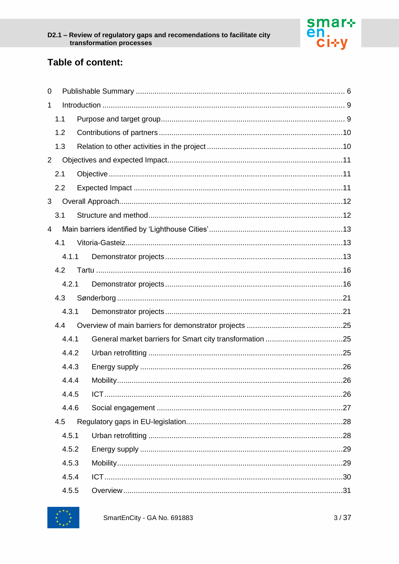

# Table of content:

| 0              |       |  |  |
|----------------|-------|--|--|
| $\mathbf{1}$   |       |  |  |
|                | 1.1   |  |  |
|                | 1.2   |  |  |
|                | 1.3   |  |  |
| $\overline{2}$ |       |  |  |
|                | 2.1   |  |  |
|                | 2.2   |  |  |
| 3              |       |  |  |
|                | 3.1   |  |  |
| $\overline{4}$ |       |  |  |
|                | 4.1   |  |  |
|                | 4.1.1 |  |  |
|                | 4.2   |  |  |
|                | 4.2.1 |  |  |
|                | 4.3   |  |  |
|                | 4.3.1 |  |  |
|                | 4.4   |  |  |
|                | 4.4.1 |  |  |
|                | 4.4.2 |  |  |
|                | 4.4.3 |  |  |
|                | 4.4.4 |  |  |
|                | 4.4.5 |  |  |
|                | 4.4.6 |  |  |
|                | 4.5   |  |  |
|                | 4.5.1 |  |  |
|                | 4.5.2 |  |  |
|                | 4.5.3 |  |  |
|                | 4.5.4 |  |  |
|                | 4.5.5 |  |  |

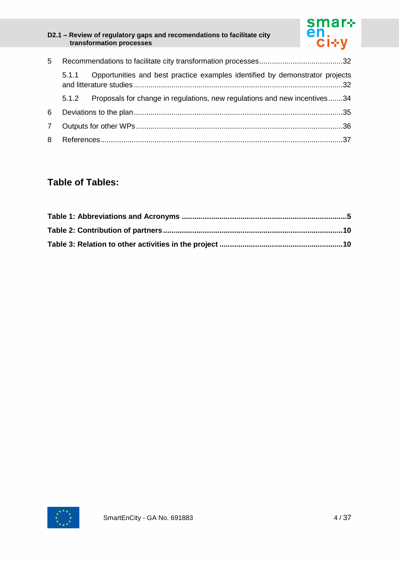

| 5 |       |                                                                              |  |
|---|-------|------------------------------------------------------------------------------|--|
|   | 5.1.1 | Opportunities and best practice examples identified by demonstrator projects |  |
|   | 5.1.2 | Proposals for change in regulations, new regulations and new incentives34    |  |
| 6 |       |                                                                              |  |
| 7 |       |                                                                              |  |
| 8 |       |                                                                              |  |

# **Table of Tables:**

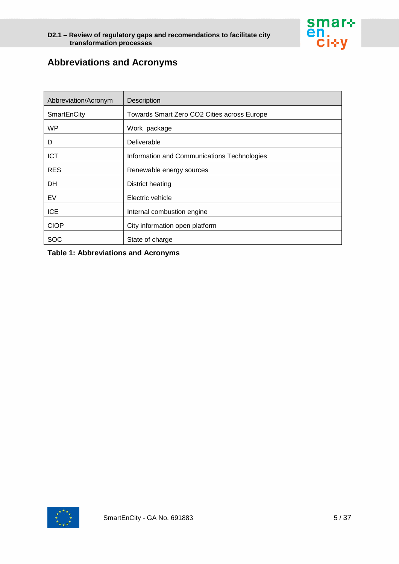

# **Abbreviations and Acronyms**

| Abbreviation/Acronym | Description                                 |
|----------------------|---------------------------------------------|
| SmartEnCity          | Towards Smart Zero CO2 Cities across Europe |
| WP                   | Work package                                |
| D                    | Deliverable                                 |
| <b>ICT</b>           | Information and Communications Technologies |
| <b>RES</b>           | Renewable energy sources                    |
| DH                   | District heating                            |
| EV                   | Electric vehicle                            |
| <b>ICE</b>           | Internal combustion engine                  |
| <b>CIOP</b>          | City information open platform              |
| SOC                  | State of charge                             |

#### **Table 1: Abbreviations and Acronyms**

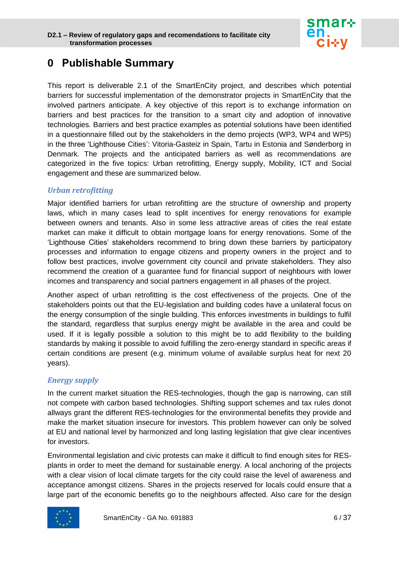

# <span id="page-5-0"></span>**0 Publishable Summary**

This report is deliverable 2.1 of the SmartEnCity project, and describes which potential barriers for successful implementation of the demonstrator projects in SmartEnCity that the involved partners anticipate. A key objective of this report is to exchange information on barriers and best practices for the transition to a smart city and adoption of innovative technologies. Barriers and best practice examples as potential solutions have been identified in a questionnaire filled out by the stakeholders in the demo projects (WP3, WP4 and WP5) in the three 'Lighthouse Cities': Vitoria-Gasteiz in Spain, Tartu in Estonia and Sønderborg in Denmark. The projects and the anticipated barriers as well as recommendations are categorized in the five topics: Urban retrofitting, Energy supply, Mobility, ICT and Social engagement and these are summarized below.

#### *Urban retrofitting*

Major identified barriers for urban retrofitting are the structure of ownership and property laws, which in many cases lead to split incentives for energy renovations for example between owners and tenants. Also in some less attractive areas of cities the real estate market can make it difficult to obtain mortgage loans for energy renovations. Some of the 'Lighthouse Cities' stakeholders recommend to bring down these barriers by participatory processes and information to engage citizens and property owners in the project and to follow best practices, involve government city council and private stakeholders. They also recommend the creation of a guarantee fund for financial support of neighbours with lower incomes and transparency and social partners engagement in all phases of the project.

Another aspect of urban retrofitting is the cost effectiveness of the projects. One of the stakeholders points out that the EU-legislation and building codes have a unilateral focus on the energy consumption of the single building. This enforces investments in buildings to fulfil the standard, regardless that surplus energy might be available in the area and could be used. If it is legally possible a solution to this might be to add flexibility to the building standards by making it possible to avoid fulfilling the zero-energy standard in specific areas if certain conditions are present (e.g. minimum volume of available surplus heat for next 20 years).

#### *Energy supply*

In the current market situation the RES-technologies, though the gap is narrowing, can still not compete with carbon based technologies. Shifting support schemes and tax rules donot allways grant the different RES-technologies for the environmental benefits they provide and make the market situation insecure for investors. This problem however can only be solved at EU and national level by harmonized and long lasting legislation that give clear incentives for investors.

Environmental legislation and civic protests can make it difficult to find enough sites for RESplants in order to meet the demand for sustainable energy. A local anchoring of the projects with a clear vision of local climate targets for the city could raise the level of awareness and acceptance amongst citizens. Shares in the projects reserved for locals could ensure that a large part of the economic benefits go to the neighbours affected. Also care for the design

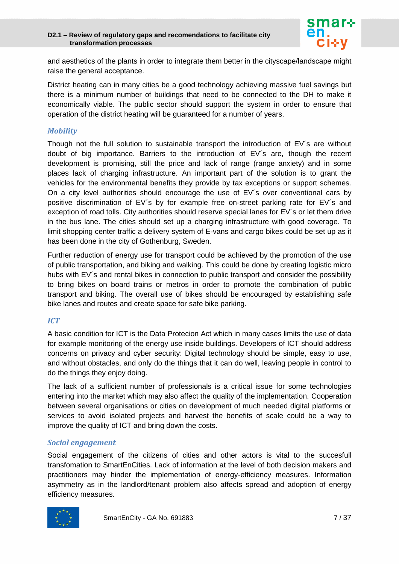

and aesthetics of the plants in order to integrate them better in the cityscape/landscape might raise the general acceptance.

District heating can in many cities be a good technology achieving massive fuel savings but there is a minimum number of buildings that need to be connected to the DH to make it economically viable. The public sector should support the system in order to ensure that operation of the district heating will be guaranteed for a number of years.

#### *Mobility*

Though not the full solution to sustainable transport the introduction of EV´s are without doubt of big importance. Barriers to the introduction of EV´s are, though the recent development is promising, still the price and lack of range (range anxiety) and in some places lack of charging infrastructure. An important part of the solution is to grant the vehicles for the environmental benefits they provide by tax exceptions or support schemes. On a city level authorities should encourage the use of EV´s over conventional cars by positive discrimination of EV´s by for example free on-street parking rate for EV´s and exception of road tolls. City authorities should reserve special lanes for EV´s or let them drive in the bus lane. The cities should set up a charging infrastructure with good coverage. To limit shopping center traffic a delivery system of E-vans and cargo bikes could be set up as it has been done in the city of Gothenburg, Sweden.

Further reduction of energy use for transport could be achieved by the promotion of the use of public transportation, and biking and walking. This could be done by creating logistic micro hubs with EV's and rental bikes in connection to public transport and consider the possibility to bring bikes on board trains or metros in order to promote the combination of public transport and biking. The overall use of bikes should be encouraged by establishing safe bike lanes and routes and create space for safe bike parking.

#### *ICT*

A basic condition for ICT is the Data Protecion Act which in many cases limits the use of data for example monitoring of the energy use inside buildings. Developers of ICT should address concerns on privacy and cyber security: Digital technology should be simple, easy to use, and without obstacles, and only do the things that it can do well, leaving people in control to do the things they enjoy doing.

The lack of a sufficient number of professionals is a critical issue for some technologies entering into the market which may also affect the quality of the implementation. Cooperation between several organisations or cities on development of much needed digital platforms or services to avoid isolated projects and harvest the benefits of scale could be a way to improve the quality of ICT and bring down the costs.

#### *Social engagement*

Social engagement of the citizens of cities and other actors is vital to the succesfull transfomation to SmartEnCities. Lack of information at the level of both decision makers and practitioners may hinder the implementation of energy-efficiency measures. Information asymmetry as in the landlord/tenant problem also affects spread and adoption of energy efficiency measures.

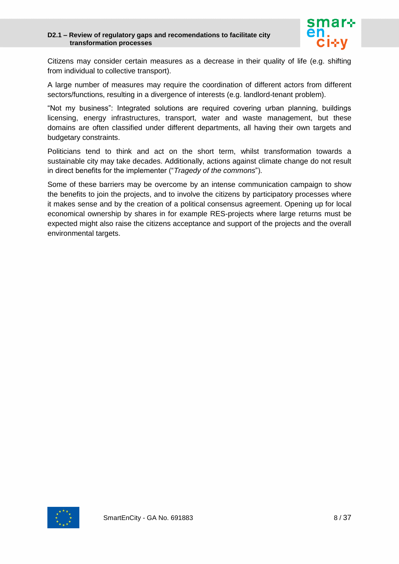

Citizens may consider certain measures as a decrease in their quality of life (e.g. shifting from individual to collective transport).

A large number of measures may require the coordination of different actors from different sectors/functions, resulting in a divergence of interests (e.g. landlord-tenant problem).

"Not my business": Integrated solutions are required covering urban planning, buildings licensing, energy infrastructures, transport, water and waste management, but these domains are often classified under different departments, all having their own targets and budgetary constraints.

Politicians tend to think and act on the short term, whilst transformation towards a sustainable city may take decades. Additionally, actions against climate change do not result in direct benefits for the implementer ("*Tragedy of the commons*").

Some of these barriers may be overcome by an intense communication campaign to show the benefits to join the projects, and to involve the citizens by participatory processes where it makes sense and by the creation of a political consensus agreement. Opening up for local economical ownership by shares in for example RES-projects where large returns must be expected might also raise the citizens acceptance and support of the projects and the overall environmental targets.

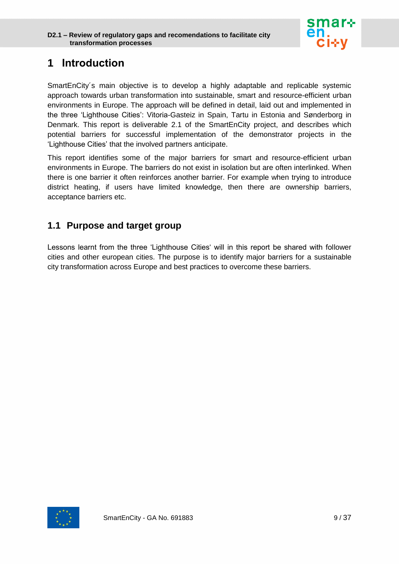

# <span id="page-8-0"></span>**1 Introduction**

SmartEnCity´s main objective is to develop a highly adaptable and replicable systemic approach towards urban transformation into sustainable, smart and resource-efficient urban environments in Europe. The approach will be defined in detail, laid out and implemented in the three 'Lighthouse Cities': Vitoria-Gasteiz in Spain, Tartu in Estonia and Sønderborg in Denmark. This report is deliverable 2.1 of the SmartEnCity project, and describes which potential barriers for successful implementation of the demonstrator projects in the 'Lighthouse Cities' that the involved partners anticipate.

This report identifies some of the major barriers for smart and resource-efficient urban environments in Europe. The barriers do not exist in isolation but are often interlinked. When there is one barrier it often reinforces another barrier. For example when trying to introduce district heating, if users have limited knowledge, then there are ownership barriers, acceptance barriers etc.

# <span id="page-8-1"></span>**1.1 Purpose and target group**

Lessons learnt from the three 'Lighthouse Cities' will in this report be shared with follower cities and other european cities. The purpose is to identify major barriers for a sustainable city transformation across Europe and best practices to overcome these barriers.

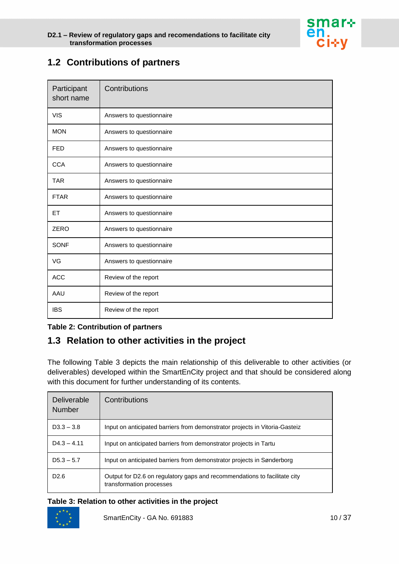

# <span id="page-9-0"></span>**1.2 Contributions of partners**

| Participant<br>short name | Contributions            |
|---------------------------|--------------------------|
| <b>VIS</b>                | Answers to questionnaire |
| <b>MON</b>                | Answers to questionnaire |
| <b>FED</b>                | Answers to questionnaire |
| <b>CCA</b>                | Answers to questionnaire |
| <b>TAR</b>                | Answers to questionnaire |
| <b>FTAR</b>               | Answers to questionnaire |
| ET.                       | Answers to questionnaire |
| <b>ZERO</b>               | Answers to questionnaire |
| <b>SONF</b>               | Answers to questionnaire |
| VG                        | Answers to questionnaire |
| <b>ACC</b>                | Review of the report     |
| AAU                       | Review of the report     |
| <b>IBS</b>                | Review of the report     |

#### **Table 2: Contribution of partners**

# <span id="page-9-1"></span>**1.3 Relation to other activities in the project**

The following Table 3 depicts the main relationship of this deliverable to other activities (or deliverables) developed within the SmartEnCity project and that should be considered along with this document for further understanding of its contents.

| Deliverable<br><b>Number</b> | Contributions                                                                                         |
|------------------------------|-------------------------------------------------------------------------------------------------------|
| $D3.3 - 3.8$                 | Input on anticipated barriers from demonstrator projects in Vitoria-Gasteiz                           |
| $D4.3 - 4.11$                | Input on anticipated barriers from demonstrator projects in Tartu                                     |
| $D5.3 - 5.7$                 | Input on anticipated barriers from demonstrator projects in Sønderborg                                |
| D <sub>2.6</sub>             | Output for D2.6 on regulatory gaps and recommendations to facilitate city<br>transformation processes |

#### **Table 3: Relation to other activities in the project**

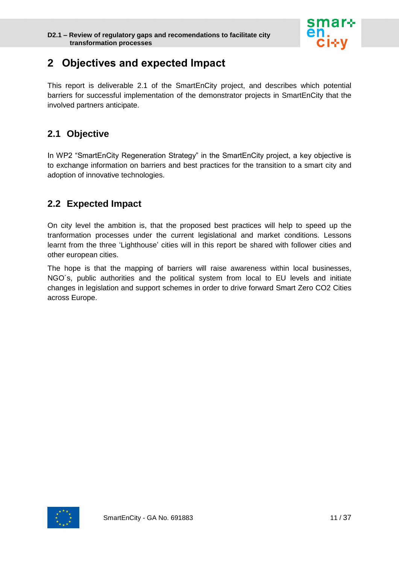

# <span id="page-10-0"></span>**2 Objectives and expected Impact**

This report is deliverable 2.1 of the SmartEnCity project, and describes which potential barriers for successful implementation of the demonstrator projects in SmartEnCity that the involved partners anticipate.

# <span id="page-10-1"></span>**2.1 Objective**

In WP2 "SmartEnCity Regeneration Strategy" in the SmartEnCity project, a key objective is to exchange information on barriers and best practices for the transition to a smart city and adoption of innovative technologies.

# <span id="page-10-2"></span>**2.2 Expected Impact**

On city level the ambition is, that the proposed best practices will help to speed up the tranformation processes under the current legislational and market conditions. Lessons learnt from the three 'Lighthouse' cities will in this report be shared with follower cities and other european cities.

The hope is that the mapping of barriers will raise awareness within local businesses, NGO´s, public authorities and the political system from local to EU levels and initiate changes in legislation and support schemes in order to drive forward Smart Zero CO2 Cities across Europe.

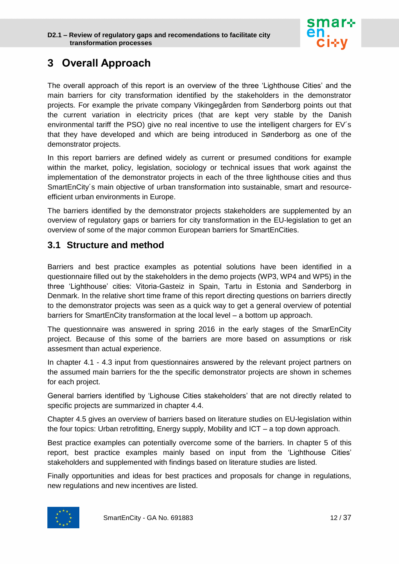

# <span id="page-11-0"></span>**3 Overall Approach**

The overall approach of this report is an overview of the three 'Lighthouse Cities' and the main barriers for city transformation identified by the stakeholders in the demonstrator projects. For example the private company Vikingegården from Sønderborg points out that the current variation in electricity prices (that are kept very stable by the Danish environmental tariff the PSO) give no real incentive to use the intelligent chargers for EV´s that they have developed and which are being introduced in Sønderborg as one of the demonstrator projects.

In this report barriers are defined widely as current or presumed conditions for example within the market, policy, legislation, sociology or technical issues that work against the implementation of the demonstrator projects in each of the three lighthouse cities and thus SmartEnCity´s main objective of urban transformation into sustainable, smart and resourceefficient urban environments in Europe.

The barriers identified by the demonstrator projects stakeholders are supplemented by an overview of regulatory gaps or barriers for city transformation in the EU-legislation to get an overview of some of the major common European barriers for SmartEnCities.

## <span id="page-11-1"></span>**3.1 Structure and method**

Barriers and best practice examples as potential solutions have been identified in a questionnaire filled out by the stakeholders in the demo projects (WP3, WP4 and WP5) in the three 'Lighthouse' cities: Vitoria-Gasteiz in Spain, Tartu in Estonia and Sønderborg in Denmark. In the relative short time frame of this report directing questions on barriers directly to the demonstrator projects was seen as a quick way to get a general overview of potential barriers for SmartEnCity transformation at the local level – a bottom up approach.

The questionnaire was answered in spring 2016 in the early stages of the SmarEnCity project. Because of this some of the barriers are more based on assumptions or risk assesment than actual experience.

In chapter 4.1 - 4.3 input from questionnaires answered by the relevant project partners on the assumed main barriers for the the specific demonstrator projects are shown in schemes for each project.

General barriers identified by 'Lighouse Cities stakeholders' that are not directly related to specific projects are summarized in chapter 4.4.

Chapter 4.5 gives an overview of barriers based on literature studies on EU-legislation within the four topics: Urban retrofitting, Energy supply, Mobility and ICT – a top down approach.

Best practice examples can potentially overcome some of the barriers. In chapter 5 of this report, best practice examples mainly based on input from the 'Lighthouse Cities' stakeholders and supplemented with findings based on literature studies are listed.

Finally opportunities and ideas for best practices and proposals for change in regulations, new regulations and new incentives are listed.

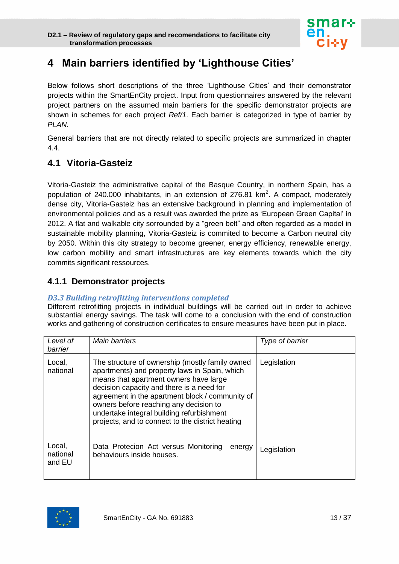

# <span id="page-12-0"></span>**4 Main barriers identified by 'Lighthouse Cities'**

Below follows short descriptions of the three 'Lighthouse Cities' and their demonstrator projects within the SmartEnCity project. Input from questionnaires answered by the relevant project partners on the assumed main barriers for the specific demonstrator projects are shown in schemes for each project *Ref/1*. Each barrier is categorized in type of barrier by *PLAN*.

General barriers that are not directly related to specific projects are summarized in chapter 4.4.

## <span id="page-12-1"></span>**4.1 Vitoria-Gasteiz**

Vitoria-Gasteiz the administrative capital of the Basque Country, in northern Spain, has a population of 240.000 inhabitants, in an extension of 276.81 km<sup>2</sup>. A compact, moderately dense city, Vitoria-Gasteiz has an extensive background in planning and implementation of environmental policies and as a result was awarded the prize as 'European Green Capital' in 2012. A flat and walkable city sorrounded by a "green belt" and often regarded as a model in sustainable mobility planning, Vitoria-Gasteiz is commited to become a Carbon neutral city by 2050. Within this city strategy to become greener, energy efficiency, renewable energy, low carbon mobility and smart infrastructures are key elements towards which the city commits significant ressources.

## <span id="page-12-2"></span>**4.1.1 Demonstrator projects**

#### *D3.3 Building retrofitting interventions completed*

Different retrofitting projects in individual buildings will be carried out in order to achieve substantial energy savings. The task will come to a conclusion with the end of construction works and gathering of construction certificates to ensure measures have been put in place.

| Level of<br>barrier          | Main barriers                                                                                                                                                                                                                                                                                                                                                                         | Type of barrier |
|------------------------------|---------------------------------------------------------------------------------------------------------------------------------------------------------------------------------------------------------------------------------------------------------------------------------------------------------------------------------------------------------------------------------------|-----------------|
| Local,<br>national           | The structure of ownership (mostly family owned<br>apartments) and property laws in Spain, which<br>means that apartment owners have large<br>decision capacity and there is a need for<br>agreement in the apartment block / community of<br>owners before reaching any decision to<br>undertake integral building refurbishment<br>projects, and to connect to the district heating | Legislation     |
| Local,<br>national<br>and EU | Data Protecion Act versus Monitoring<br>energy<br>behaviours inside houses.                                                                                                                                                                                                                                                                                                           | Legislation     |

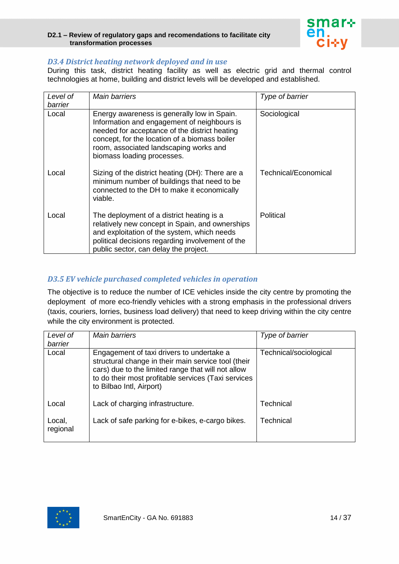

#### *D3.4 District heating network deployed and in use*

During this task, district heating facility as well as electric grid and thermal control technologies at home, building and district levels will be developed and established.

| Level of<br>barrier | Main barriers                                                                                                                                                                                                                                                        | Type of barrier      |
|---------------------|----------------------------------------------------------------------------------------------------------------------------------------------------------------------------------------------------------------------------------------------------------------------|----------------------|
| Local               | Energy awareness is generally low in Spain.<br>Information and engagement of neighbours is<br>needed for acceptance of the district heating<br>concept, for the location of a biomass boiler<br>room, associated landscaping works and<br>biomass loading processes. | Sociological         |
| Local               | Sizing of the district heating (DH): There are a<br>minimum number of buildings that need to be<br>connected to the DH to make it economically<br>viable.                                                                                                            | Technical/Economical |
| Local               | The deployment of a district heating is a<br>relatively new concept in Spain, and ownerships<br>and exploitation of the system, which needs<br>political decisions regarding involvement of the<br>public sector, can delay the project.                             | Political            |

#### *D3.5 EV vehicle purchased completed vehicles in operation*

The objective is to reduce the number of ICE vehicles inside the city centre by promoting the deployment of more eco-friendly vehicles with a strong emphasis in the professional drivers (taxis, couriers, lorries, business load delivery) that need to keep driving within the city centre while the city environment is protected.

| Level of<br>barrier | <b>Main barriers</b>                                                                                                                                                                                                                      | Type of barrier        |
|---------------------|-------------------------------------------------------------------------------------------------------------------------------------------------------------------------------------------------------------------------------------------|------------------------|
| Local               | Engagement of taxi drivers to undertake a<br>structural change in their main service tool (their<br>cars) due to the limited range that will not allow<br>to do their most profitable services (Taxi services<br>to Bilbao Intl, Airport) | Technical/sociological |
| Local               | Lack of charging infrastructure.                                                                                                                                                                                                          | Technical              |
| Local,<br>regional  | Lack of safe parking for e-bikes, e-cargo bikes.                                                                                                                                                                                          | Technical              |

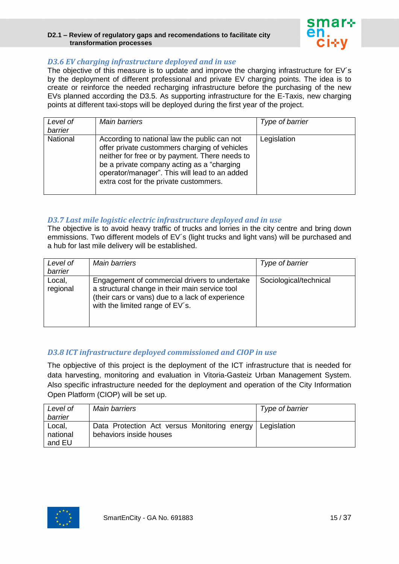

#### *D3.6 EV charging infrastructure deployed and in use*

The objective of this measure is to update and improve the charging infrastructure for EV´s by the deployment of different professional and private EV charging points. The idea is to create or reinforce the needed recharging infrastructure before the purchasing of the new EVs planned according the D3.5. As supporting infrastructure for the E-Taxis, new charging points at different taxi-stops will be deployed during the first year of the project.

| Level of<br>barrier | <b>Main barriers</b>                                                                                                                                                                                                                                                                     | Type of barrier |
|---------------------|------------------------------------------------------------------------------------------------------------------------------------------------------------------------------------------------------------------------------------------------------------------------------------------|-----------------|
| <b>National</b>     | According to national law the public can not<br>offer private custommers charging of vehicles<br>neither for free or by payment. There needs to<br>be a private company acting as a "charging<br>operator/manager". This will lead to an added<br>extra cost for the private custommers. | Legislation     |

#### *D3.7 Last mile logistic electric infrastructure deployed and in use*

The objective is to avoid heavy traffic of trucks and lorries in the city centre and bring down emmissions. Two different models of EV´s (light trucks and light vans) will be purchased and a hub for last mile delivery will be established.

| Level of           | Main barriers                                                                                                                                                                          | Type of barrier        |
|--------------------|----------------------------------------------------------------------------------------------------------------------------------------------------------------------------------------|------------------------|
| barrier            |                                                                                                                                                                                        |                        |
| Local,<br>regional | Engagement of commercial drivers to undertake<br>a structural change in their main service tool<br>(their cars or vans) due to a lack of experience<br>with the limited range of EV's. | Sociological/technical |

#### *D3.8 ICT infrastructure deployed commissioned and CIOP in use*

The opbjective of this project is the deployment of the ICT infrastructure that is needed for data harvesting, monitoring and evaluation in Vitoria-Gasteiz Urban Management System. Also specific infrastructure needed for the deployment and operation of the City Information Open Platform (CIOP) will be set up.

| Level of | <b>Main barriers</b>                                       | Type of barrier |
|----------|------------------------------------------------------------|-----------------|
| barrier  |                                                            |                 |
| Local,   | Data Protection Act versus Monitoring energy   Legislation |                 |
| national | behaviors inside houses                                    |                 |
| and EU   |                                                            |                 |

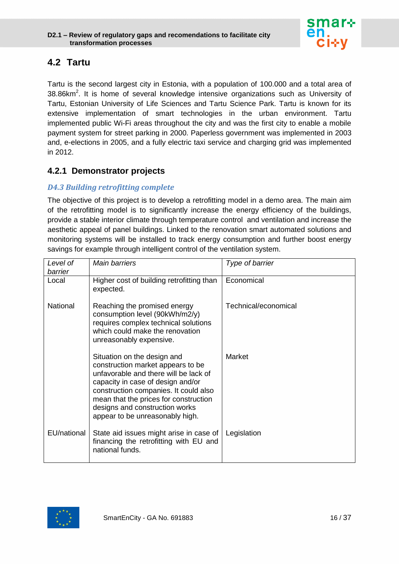

# <span id="page-15-0"></span>**4.2 Tartu**

Tartu is the second largest city in Estonia, with a population of 100.000 and a total area of 38.86 $km<sup>2</sup>$ . It is home of several knowledge intensive organizations such as University of Tartu, Estonian University of Life Sciences and Tartu Science Park. Tartu is known for its extensive implementation of smart technologies in the urban environment. Tartu implemented public Wi-Fi areas throughout the city and was the first city to enable a mobile payment system for street parking in 2000. Paperless government was implemented in 2003 and, e-elections in 2005, and a fully electric taxi service and charging grid was implemented in 2012.

## <span id="page-15-1"></span>**4.2.1 Demonstrator projects**

#### *D4.3 Building retrofitting complete*

The objective of this project is to develop a retrofitting model in a demo area. The main aim of the retrofitting model is to significantly increase the energy efficiency of the buildings, provide a stable interior climate through temperature control and ventilation and increase the aesthetic appeal of panel buildings. Linked to the renovation smart automated solutions and monitoring systems will be installed to track energy consumption and further boost energy savings for example through intelligent control of the ventilation system.

| Level of<br>barrier | <b>Main barriers</b>                                                                                                                                                                                                                                                                                  | Type of barrier      |
|---------------------|-------------------------------------------------------------------------------------------------------------------------------------------------------------------------------------------------------------------------------------------------------------------------------------------------------|----------------------|
| Local               | Higher cost of building retrofitting than<br>expected.                                                                                                                                                                                                                                                | Economical           |
| <b>National</b>     | Reaching the promised energy<br>consumption level (90kWh/m2/y)<br>requires complex technical solutions<br>which could make the renovation<br>unreasonably expensive.                                                                                                                                  | Technical/economical |
|                     | Situation on the design and<br>construction market appears to be<br>unfavorable and there will be lack of<br>capacity in case of design and/or<br>construction companies. It could also<br>mean that the prices for construction<br>designs and construction works<br>appear to be unreasonably high. | Market               |
| EU/national         | State aid issues might arise in case of<br>financing the retrofitting with EU and<br>national funds.                                                                                                                                                                                                  | Legislation          |

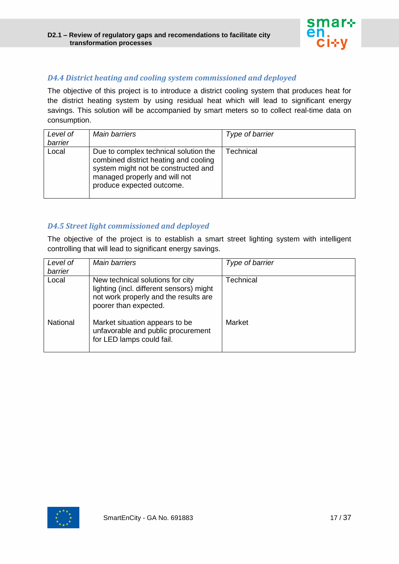

#### *D4.4 District heating and cooling system commissioned and deployed*

The objective of this project is to introduce a district cooling system that produces heat for the district heating system by using residual heat which will lead to significant energy savings. This solution will be accompanied by smart meters so to collect real-time data on consumption.

| Level of<br>barrier | <b>Main barriers</b>                                                                                                                                                                | Type of barrier |
|---------------------|-------------------------------------------------------------------------------------------------------------------------------------------------------------------------------------|-----------------|
| Local               | Due to complex technical solution the<br>combined district heating and cooling<br>system might not be constructed and<br>managed properly and will not<br>produce expected outcome. | Technical       |

#### *D4.5 Street light commissioned and deployed*

The objective of the project is to establish a smart street lighting system with intelligent controlling that will lead to significant energy savings.

| Level of<br>barrier | <b>Main barriers</b>                                                                                                                           | Type of barrier |
|---------------------|------------------------------------------------------------------------------------------------------------------------------------------------|-----------------|
| Local               | New technical solutions for city<br>lighting (incl. different sensors) might<br>not work properly and the results are<br>poorer than expected. | Technical       |
| National            | Market situation appears to be<br>unfavorable and public procurement<br>for LED lamps could fail.                                              | Market          |

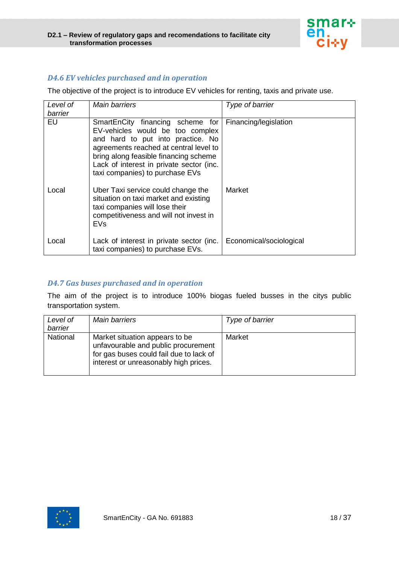

## *D4.6 EV vehicles purchased and in operation*

The objective of the project is to introduce EV vehicles for renting, taxis and private use.

| Level of<br>barrier | <b>Main barriers</b>                                                                                                                                                                                                                                                        | Type of barrier         |
|---------------------|-----------------------------------------------------------------------------------------------------------------------------------------------------------------------------------------------------------------------------------------------------------------------------|-------------------------|
| EU                  | SmartEnCity financing scheme for<br>EV-vehicles would be too complex<br>and hard to put into practice. No<br>agreements reached at central level to<br>bring along feasible financing scheme<br>Lack of interest in private sector (inc.<br>taxi companies) to purchase EVs | Financing/legislation   |
| Local               | Uber Taxi service could change the<br>situation on taxi market and existing<br>taxi companies will lose their<br>competitiveness and will not invest in<br>EVs                                                                                                              | Market                  |
| Local               | Lack of interest in private sector (inc.<br>taxi companies) to purchase EVs.                                                                                                                                                                                                | Economical/sociological |

#### *D4.7 Gas buses purchased and in operation*

The aim of the project is to introduce 100% biogas fueled busses in the citys public transportation system.

| Level of<br>barrier | Main barriers                                                                                                                                             | Type of barrier |
|---------------------|-----------------------------------------------------------------------------------------------------------------------------------------------------------|-----------------|
| National            | Market situation appears to be<br>unfavourable and public procurement<br>for gas buses could fail due to lack of<br>interest or unreasonably high prices. | Market          |

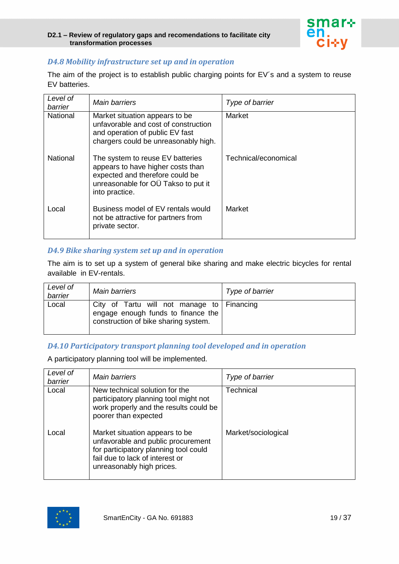

#### *D4.8 Mobility infrastructure set up and in operation*

The aim of the project is to establish public charging points for EV´s and a system to reuse EV batteries.

| Level of<br>barrier | <b>Main barriers</b>                                                                                                                                              | Type of barrier      |
|---------------------|-------------------------------------------------------------------------------------------------------------------------------------------------------------------|----------------------|
| <b>National</b>     | Market situation appears to be<br>unfavorable and cost of construction<br>and operation of public EV fast<br>chargers could be unreasonably high.                 | Market               |
| <b>National</b>     | The system to reuse EV batteries<br>appears to have higher costs than<br>expected and therefore could be<br>unreasonable for OÜ Takso to put it<br>into practice. | Technical/economical |
| Local               | Business model of EV rentals would<br>not be attractive for partners from<br>private sector.                                                                      | Market               |

#### *D4.9 Bike sharing system set up and in operation*

The aim is to set up a system of general bike sharing and make electric bicycles for rental available in EV-rentals.

| Level of<br>barrier | <b>Main barriers</b>                                                                                                       | Type of barrier |
|---------------------|----------------------------------------------------------------------------------------------------------------------------|-----------------|
| Local               | City of Tartu will not manage to   Financing<br>engage enough funds to finance the<br>construction of bike sharing system. |                 |

#### *D4.10 Participatory transport planning tool developed and in operation*

A participatory planning tool will be implemented.

| Level of<br>barrier | Main barriers                                                                                                                                                                 | Type of barrier     |
|---------------------|-------------------------------------------------------------------------------------------------------------------------------------------------------------------------------|---------------------|
| Local               | New technical solution for the<br>participatory planning tool might not<br>work properly and the results could be<br>poorer than expected                                     | Technical           |
| Local               | Market situation appears to be<br>unfavorable and public procurement<br>for participatory planning tool could<br>fail due to lack of interest or<br>unreasonably high prices. | Market/sociological |

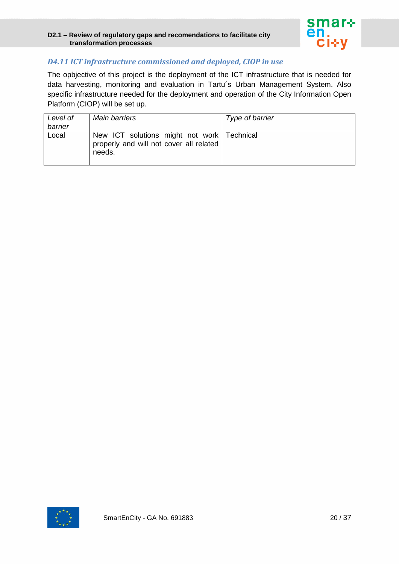

#### *D4.11 ICT infrastructure commissioned and deployed, CIOP in use*

The opbjective of this project is the deployment of the ICT infrastructure that is needed for data harvesting, monitoring and evaluation in Tartu´s Urban Management System. Also specific infrastructure needed for the deployment and operation of the City Information Open Platform (CIOP) will be set up.

| Level of<br>barrier | Main barriers                                                                                     | Type of barrier |
|---------------------|---------------------------------------------------------------------------------------------------|-----------------|
| Local               | New ICT solutions might not work   Technical<br>properly and will not cover all related<br>needs. |                 |

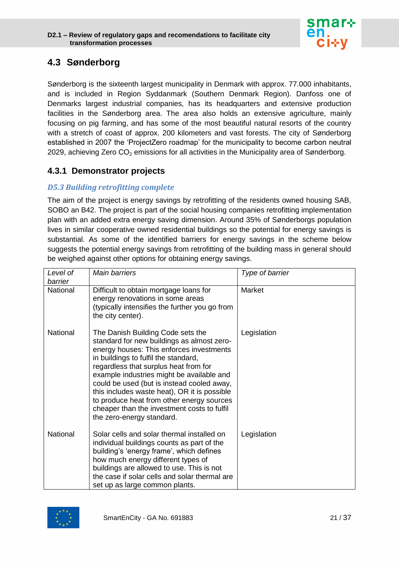

# <span id="page-20-0"></span>**4.3 Sønderborg**

Sønderborg is the sixteenth largest municipality in Denmark with approx. 77.000 inhabitants, and is included in Region Syddanmark (Southern Denmark Region). Danfoss one of Denmarks largest industrial companies, has its headquarters and extensive production facilities in the Sønderborg area. The area also holds an extensive agriculture, mainly focusing on pig farming, and has some of the most beautiful natural resorts of the country with a stretch of coast of approx. 200 kilometers and vast forests. The city of Sønderborg established in 2007 the 'ProjectZero roadmap' for the municipality to become carbon neutral 2029, achieving Zero  $CO<sub>2</sub>$  emissions for all activities in the Municipality area of Sønderborg.

## <span id="page-20-1"></span>**4.3.1 Demonstrator projects**

#### *D5.3 Building retrofitting complete*

The aim of the project is energy savings by retrofitting of the residents owned housing SAB, SOBO an B42. The project is part of the social housing companies retrofitting implementation plan with an added extra energy saving dimension. Around 35% of Sønderborgs population lives in similar cooperative owned residential buildings so the potential for energy savings is substantial. As some of the identified barriers for energy savings in the scheme below suggests the potential energy savings from retrofitting of the building mass in general should be weighed against other options for obtaining energy savings.

| Level of<br>barrier | <b>Main barriers</b>                                                                                                                                                                                                                                                                                                                                                                                                                                                             | Type of barrier |
|---------------------|----------------------------------------------------------------------------------------------------------------------------------------------------------------------------------------------------------------------------------------------------------------------------------------------------------------------------------------------------------------------------------------------------------------------------------------------------------------------------------|-----------------|
| National            | Difficult to obtain mortgage loans for<br>energy renovations in some areas<br>(typically intensifies the further you go from<br>the city center).                                                                                                                                                                                                                                                                                                                                | Market          |
| <b>National</b>     | The Danish Building Code sets the<br>standard for new buildings as almost zero-<br>energy houses: This enforces investments<br>in buildings to fulfil the standard,<br>regardless that surplus heat from for<br>example industries might be available and<br>could be used (but is instead cooled away,<br>this includes waste heat), OR it is possible<br>to produce heat from other energy sources<br>cheaper than the investment costs to fulfil<br>the zero-energy standard. | Legislation     |
| National            | Solar cells and solar thermal installed on<br>individual buildings counts as part of the<br>building's 'energy frame', which defines<br>how much energy different types of<br>buildings are allowed to use. This is not<br>the case if solar cells and solar thermal are<br>set up as large common plants.                                                                                                                                                                       | Legislation     |

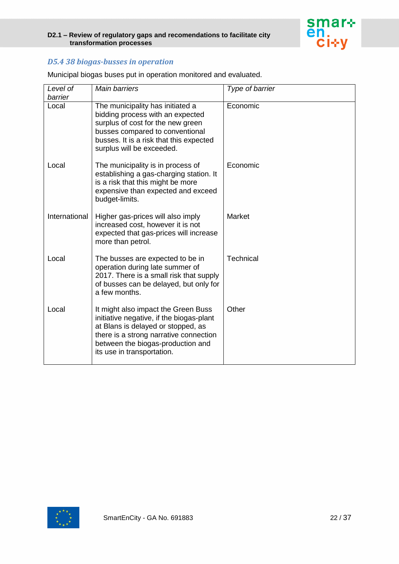

## *D5.4 38 biogas-busses in operation*

| Level of      | <b>Main barriers</b>                                                                                                                                                                                                               | Type of barrier |
|---------------|------------------------------------------------------------------------------------------------------------------------------------------------------------------------------------------------------------------------------------|-----------------|
| barrier       |                                                                                                                                                                                                                                    |                 |
| Local         | The municipality has initiated a<br>bidding process with an expected<br>surplus of cost for the new green<br>busses compared to conventional<br>busses. It is a risk that this expected<br>surplus will be exceeded.               | Economic        |
| Local         | The municipality is in process of<br>establishing a gas-charging station. It<br>is a risk that this might be more<br>expensive than expected and exceed<br>budget-limits.                                                          | Economic        |
| International | Higher gas-prices will also imply<br>increased cost, however it is not<br>expected that gas-prices will increase<br>more than petrol.                                                                                              | Market          |
| Local         | The busses are expected to be in<br>operation during late summer of<br>2017. There is a small risk that supply<br>of busses can be delayed, but only for<br>a few months.                                                          | Technical       |
| Local         | It might also impact the Green Buss<br>initiative negative, if the biogas-plant<br>at Blans is delayed or stopped, as<br>there is a strong narrative connection<br>between the biogas-production and<br>its use in transportation. | Other           |

Municipal biogas buses put in operation monitored and evaluated.

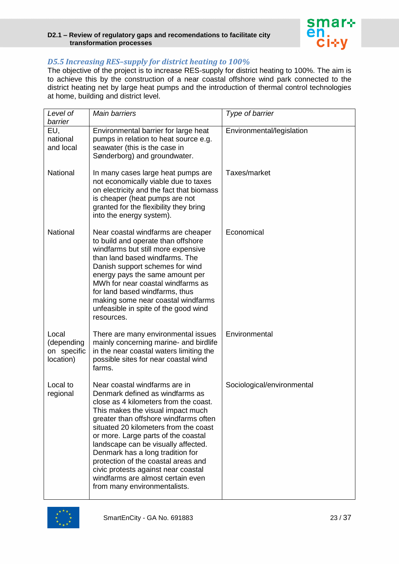

#### *D5.5 Increasing RES–supply for district heating to 100%*

The objective of the project is to increase RES-supply for district heating to 100%. The aim is to achieve this by the construction of a near coastal offshore wind park connected to the district heating net by large heat pumps and the introduction of thermal control technologies at home, building and district level.

| Level of                                        | <b>Main barriers</b>                                                                                                                                                                                                                                                                                                                                                                                                                                                                                  | Type of barrier            |
|-------------------------------------------------|-------------------------------------------------------------------------------------------------------------------------------------------------------------------------------------------------------------------------------------------------------------------------------------------------------------------------------------------------------------------------------------------------------------------------------------------------------------------------------------------------------|----------------------------|
| barrier                                         |                                                                                                                                                                                                                                                                                                                                                                                                                                                                                                       |                            |
| EU,<br>national<br>and local                    | Environmental barrier for large heat<br>pumps in relation to heat source e.g.<br>seawater (this is the case in<br>Sønderborg) and groundwater.                                                                                                                                                                                                                                                                                                                                                        | Environmental/legislation  |
| National                                        | In many cases large heat pumps are<br>not economically viable due to taxes<br>on electricity and the fact that biomass<br>is cheaper (heat pumps are not<br>granted for the flexibility they bring<br>into the energy system).                                                                                                                                                                                                                                                                        | Taxes/market               |
| National                                        | Near coastal windfarms are cheaper<br>to build and operate than offshore<br>windfarms but still more expensive<br>than land based windfarms. The<br>Danish support schemes for wind<br>energy pays the same amount per<br>MWh for near coastal windfarms as<br>for land based windfarms, thus<br>making some near coastal windfarms<br>unfeasible in spite of the good wind<br>resources.                                                                                                             | Economical                 |
| Local<br>(depending<br>on specific<br>location) | There are many environmental issues<br>mainly concerning marine- and birdlife<br>in the near coastal waters limiting the<br>possible sites for near coastal wind<br>farms.                                                                                                                                                                                                                                                                                                                            | Environmental              |
| Local to<br>regional                            | Near coastal windfarms are in<br>Denmark defined as windfarms as<br>close as 4 kilometers from the coast.<br>This makes the visual impact much<br>greater than offshore windfarms often<br>situated 20 kilometers from the coast<br>or more. Large parts of the coastal<br>landscape can be visually affected.<br>Denmark has a long tradition for<br>protection of the coastal areas and<br>civic protests against near coastal<br>windfarms are almost certain even<br>from many environmentalists. | Sociological/environmental |

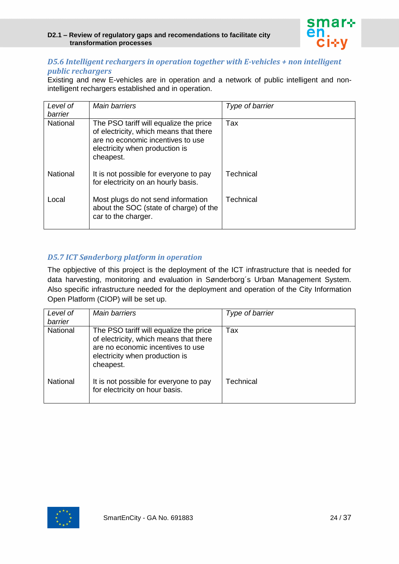

#### *D5.6 Intelligent rechargers in operation together with E-vehicles + non intelligent public rechargers*

Existing and new E-vehicles are in operation and a network of public intelligent and nonintelligent rechargers established and in operation.

| Level of<br>barrier | <b>Main barriers</b>                                                                                                                                                 | Type of barrier  |
|---------------------|----------------------------------------------------------------------------------------------------------------------------------------------------------------------|------------------|
| <b>National</b>     | The PSO tariff will equalize the price<br>of electricity, which means that there<br>are no economic incentives to use<br>electricity when production is<br>cheapest. | Tax              |
| <b>National</b>     | It is not possible for everyone to pay<br>for electricity on an hourly basis.                                                                                        | Technical        |
| Local               | Most plugs do not send information<br>about the SOC (state of charge) of the<br>car to the charger.                                                                  | <b>Technical</b> |

#### *D5.7 ICT Sønderborg platform in operation*

The opbjective of this project is the deployment of the ICT infrastructure that is needed for data harvesting, monitoring and evaluation in Sønderborg´s Urban Management System. Also specific infrastructure needed for the deployment and operation of the City Information Open Platform (CIOP) will be set up.

| Level of<br>barrier | <b>Main barriers</b>                                                                                                                                                 | Type of barrier |
|---------------------|----------------------------------------------------------------------------------------------------------------------------------------------------------------------|-----------------|
| <b>National</b>     | The PSO tariff will equalize the price<br>of electricity, which means that there<br>are no economic incentives to use<br>electricity when production is<br>cheapest. | Tax             |
| National            | It is not possible for everyone to pay<br>for electricity on hour basis.                                                                                             | Technical       |

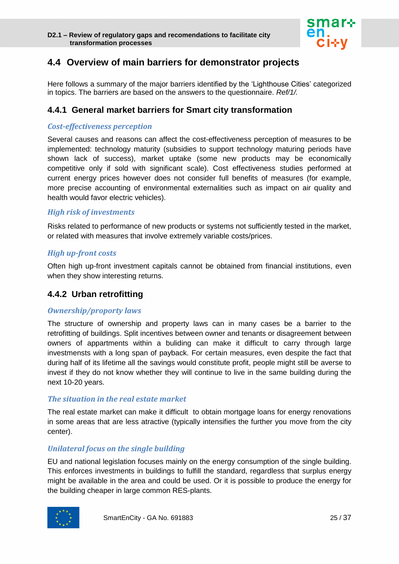

# <span id="page-24-0"></span>**4.4 Overview of main barriers for demonstrator projects**

Here follows a summary of the major barriers identified by the 'Lighthouse Cities' categorized in topics. The barriers are based on the answers to the questionnaire. *Ref/1/.*

## <span id="page-24-1"></span>**4.4.1 General market barriers for Smart city transformation**

#### *Cost-effectiveness perception*

Several causes and reasons can affect the cost-effectiveness perception of measures to be implemented: technology maturity (subsidies to support technology maturing periods have shown lack of success), market uptake (some new products may be economically competitive only if sold with significant scale). Cost effectiveness studies performed at current energy prices however does not consider full benefits of measures (for example, more precise accounting of environmental externalities such as impact on air quality and health would favor electric vehicles).

#### *High risk of investments*

Risks related to performance of new products or systems not sufficiently tested in the market, or related with measures that involve extremely variable costs/prices.

#### *High up-front costs*

Often high up-front investment capitals cannot be obtained from financial institutions, even when they show interesting returns.

#### <span id="page-24-2"></span>**4.4.2 Urban retrofitting**

#### *Ownership/proporty laws*

The structure of ownership and property laws can in many cases be a barrier to the retrofitting of buildings. Split incentives between owner and tenants or disagreement between owners of appartments within a buliding can make it difficult to carry through large investmensts with a long span of payback. For certain measures, even despite the fact that during half of its lifetime all the savings would constitute profit, people might still be averse to invest if they do not know whether they will continue to live in the same building during the next 10-20 years.

#### *The situation in the real estate market*

The real estate market can make it difficult to obtain mortgage loans for energy renovations in some areas that are less atractive (typically intensifies the further you move from the city center).

#### *Unilateral focus on the single building*

EU and national legislation focuses mainly on the energy consumption of the single building. This enforces investments in buildings to fulfill the standard, regardless that surplus energy might be available in the area and could be used. Or it is possible to produce the energy for the building cheaper in large common RES-plants.

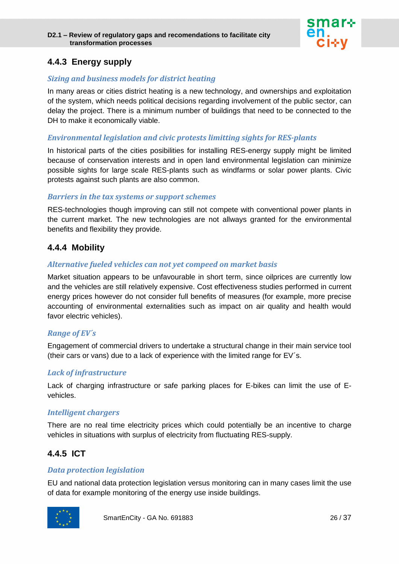

# <span id="page-25-0"></span>**4.4.3 Energy supply**

#### *Sizing and business models for district heating*

In many areas or cities district heating is a new technology, and ownerships and exploitation of the system, which needs political decisions regarding involvement of the public sector, can delay the project. There is a minimum number of buildings that need to be connected to the DH to make it economically viable.

#### *Environmental legislation and civic protests limitting sights for RES-plants*

In historical parts of the cities posibilities for installing RES-energy supply might be limited because of conservation interests and in open land environmental legislation can minimize possible sights for large scale RES-plants such as windfarms or solar power plants. Civic protests against such plants are also common.

#### *Barriers in the tax systems or support schemes*

RES-technologies though improving can still not compete with conventional power plants in the current market. The new technologies are not allways granted for the environmental benefits and flexibility they provide.

#### <span id="page-25-1"></span>**4.4.4 Mobility**

#### *Alternative fueled vehicles can not yet compeed on market basis*

Market situation appears to be unfavourable in short term, since oilprices are currently low and the vehicles are still relatively expensive. Cost effectiveness studies performed in current energy prices however do not consider full benefits of measures (for example, more precise accounting of environmental externalities such as impact on air quality and health would favor electric vehicles).

#### *Range of EV´s*

Engagement of commercial drivers to undertake a structural change in their main service tool (their cars or vans) due to a lack of experience with the limited range for EV´s.

#### *Lack of infrastructure*

Lack of charging infrastructure or safe parking places for E-bikes can limit the use of Evehicles.

#### *Intelligent chargers*

There are no real time electricity prices which could potentially be an incentive to charge vehicles in situations with surplus of electricity from fluctuating RES-supply.

## <span id="page-25-2"></span>**4.4.5 ICT**

#### *Data protection legislation*

EU and national data protection legislation versus monitoring can in many cases limit the use of data for example monitoring of the energy use inside buildings.

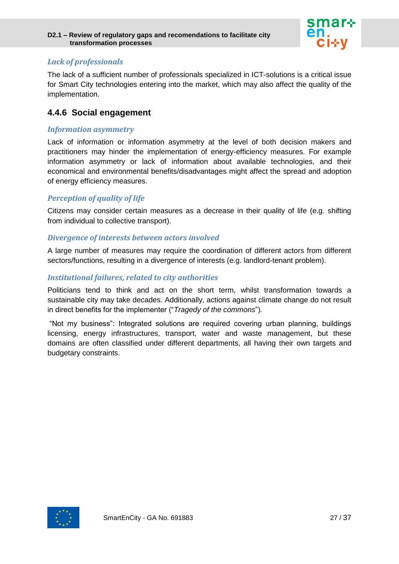

#### *Lack of professionals*

The lack of a sufficient number of professionals specialized in ICT-solutions is a critical issue for Smart City technologies entering into the market, which may also affect the quality of the implementation.

## <span id="page-26-0"></span>**4.4.6 Social engagement**

#### *Information asymmetry*

Lack of information or information asymmetry at the level of both decision makers and practitioners may hinder the implementation of energy-efficiency measures. For example information asymmetry or lack of information about available technologies, and their economical and environmental benefits/disadvantages might affect the spread and adoption of energy efficiency measures.

#### *Perception of quality of life*

Citizens may consider certain measures as a decrease in their quality of life (e.g. shifting from individual to collective transport).

#### *Divergence of interests between actors involved*

A large number of measures may require the coordination of different actors from different sectors/functions, resulting in a divergence of interests (e.g. landlord-tenant problem).

#### *Institutional failures, related to city authorities*

Politicians tend to think and act on the short term, whilst transformation towards a sustainable city may take decades. Additionally, actions against climate change do not result in direct benefits for the implementer ("*Tragedy of the commons*").

"Not my business": Integrated solutions are required covering urban planning, buildings licensing, energy infrastructures, transport, water and waste management, but these domains are often classified under different departments, all having their own targets and budgetary constraints.

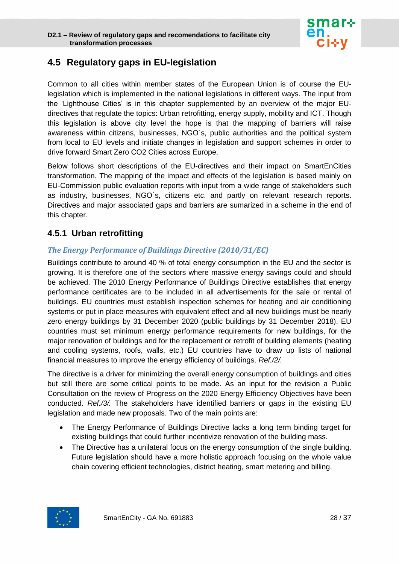

# <span id="page-27-0"></span>**4.5 Regulatory gaps in EU-legislation**

Common to all cities within member states of the European Union is of course the EUlegislation which is implemented in the national legislations in different ways. The input from the 'Lighthouse Cities' is in this chapter supplemented by an overview of the major EUdirectives that regulate the topics: Urban retrofitting, energy supply, mobility and ICT. Though this legislation is above city level the hope is that the mapping of barriers will raise awareness within citizens, businesses, NGO´s, public authorities and the political system from local to EU levels and initiate changes in legislation and support schemes in order to drive forward Smart Zero CO2 Cities across Europe.

Below follows short descriptions of the EU-directives and their impact on SmartEnCities transformation. The mapping of the impact and effects of the legislation is based mainly on EU-Commission public evaluation reports with input from a wide range of stakeholders such as industry, businesses, NGO´s, citizens etc. and partly on relevant research reports. Directives and major associated gaps and barriers are sumarized in a scheme in the end of this chapter.

## <span id="page-27-1"></span>**4.5.1 Urban retrofitting**

#### *The Energy Performance of Buildings Directive (2010/31/EC)*

Buildings contribute to around 40 % of total energy consumption in the EU and the sector is growing. It is therefore one of the sectors where massive energy savings could and should be achieved. The 2010 Energy Performance of Buildings Directive establishes that energy performance certificates are to be included in all advertisements for the sale or rental of buildings. EU countries must establish inspection schemes for heating and air conditioning systems or put in place measures with equivalent effect and all new buildings must be nearly zero energy buildings by 31 December 2020 (public buildings by 31 December 2018). EU countries must set minimum energy performance requirements for new buildings, for the major renovation of buildings and for the replacement or retrofit of building elements (heating and cooling systems, roofs, walls, etc.) EU countries have to draw up lists of national financial measures to improve the energy efficiency of buildings. *Ref./2/.*

The directive is a driver for minimizing the overall energy consumption of buildings and cities but still there are some critical points to be made. As an input for the revision a Public Consultation on the review of Progress on the 2020 Energy Efficiency Objectives have been conducted. *Ref./3/.* The stakeholders have identified barriers or gaps in the existing EU legislation and made new proposals. Two of the main points are:

- The Energy Performance of Buildings Directive lacks a long term binding target for existing buildings that could further incentivize renovation of the building mass.
- The Directive has a unilateral focus on the energy consumption of the single building. Future legislation should have a more holistic approach focusing on the whole value chain covering efficient technologies, district heating, smart metering and billing.

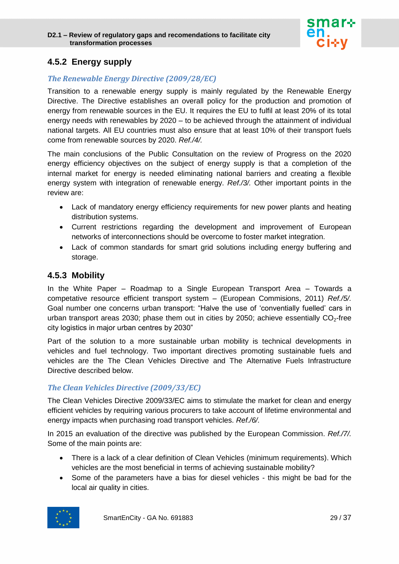

## <span id="page-28-0"></span>**4.5.2 Energy supply**

## *The Renewable Energy Directive (2009/28/EC)*

Transition to a renewable energy supply is mainly regulated by the Renewable Energy Directive. The Directive establishes an overall policy for the production and promotion of energy from renewable sources in the EU. It requires the EU to fulfil at least 20% of its total energy needs with renewables by 2020 – to be achieved through the attainment of individual national targets. All EU countries must also ensure that at least 10% of their transport fuels come from renewable sources by 2020. *Ref./4/.*

The main conclusions of the Public Consultation on the review of Progress on the 2020 energy efficiency objectives on the subject of energy supply is that a completion of the internal market for energy is needed eliminating national barriers and creating a flexible energy system with integration of renewable energy. *Ref./3/.* Other important points in the review are:

- Lack of mandatory energy efficiency requirements for new power plants and heating distribution systems.
- Current restrictions regarding the development and improvement of European networks of interconnections should be overcome to foster market integration.
- Lack of common standards for smart grid solutions including energy buffering and storage.

## <span id="page-28-1"></span>**4.5.3 Mobility**

In the White Paper – Roadmap to a Single European Transport Area – Towards a competative resource efficient transport system – (European Commisions, 2011) *Ref./5/.* Goal number one concerns urban transport: "Halve the use of 'conventially fuelled' cars in urban transport areas 2030; phase them out in cities by 2050; achieve essentially  $CO<sub>2</sub>$ -free city logistics in major urban centres by 2030"

Part of the solution to a more sustainable urban mobility is technical developments in vehicles and fuel technology. Two important directives promoting sustainable fuels and vehicles are the The Clean Vehicles Directive and The Alternative Fuels Infrastructure Directive described below.

#### *The Clean Vehicles Directive (2009/33/EC)*

The Clean Vehicles Directive 2009/33/EC aims to stimulate the market for clean and energy efficient vehicles by requiring various procurers to take account of lifetime environmental and energy impacts when purchasing road transport vehicles. *Ref./6/.*

In 2015 an evaluation of the directive was published by the European Commission. *Ref./7/.* Some of the main points are:

- There is a lack of a clear definition of Clean Vehicles (minimum requirements). Which vehicles are the most beneficial in terms of achieving sustainable mobility?
- Some of the parameters have a bias for diesel vehicles this might be bad for the local air quality in cities.

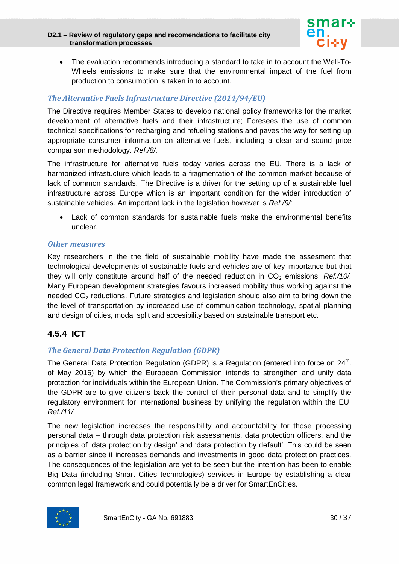

 The evaluation recommends introducing a standard to take in to account the Well-To-Wheels emissions to make sure that the environmental impact of the fuel from production to consumption is taken in to account.

#### *The Alternative Fuels Infrastructure Directive (2014/94/EU)*

The Directive requires Member States to develop national policy frameworks for the market development of alternative fuels and their infrastructure; Foresees the use of common technical specifications for recharging and refueling stations and paves the way for setting up appropriate consumer information on alternative fuels, including a clear and sound price comparison methodology. *Ref./8/.*

The infrastructure for alternative fuels today varies across the EU. There is a lack of harmonized infrastucture which leads to a fragmentation of the common market because of lack of common standards. The Directive is a driver for the setting up of a sustainable fuel infrastructure across Europe which is an important condition for the wider introduction of sustainable vehicles. An important lack in the legislation however is *Ref./9/*:

 Lack of common standards for sustainable fuels make the environmental benefits unclear.

#### *Other measures*

Key researchers in the the field of sustainable mobility have made the assesment that technological developments of sustainable fuels and vehicles are of key importance but that they will only constitute around half of the needed reduction in  $CO<sub>2</sub>$  emissions. *Ref./10/.* Many European development strategies favours increased mobility thus working against the needed  $CO<sub>2</sub>$  reductions. Future strategies and legislation should also aim to bring down the the level of transportation by increased use of communication technology, spatial planning and design of cities, modal split and accesibility based on sustainable transport etc.

# <span id="page-29-0"></span>**4.5.4 ICT**

#### *The General Data Protection Regulation (GDPR)*

The General Data Protection [Regulation](https://en.wikipedia.org/wiki/Regulation_%28European_Union%29) (GDPR) is a Regulation (entered into force on 24<sup>th</sup>. of May 2016) by which the [European Commission](https://en.wikipedia.org/wiki/European_Commission) intends to strengthen and unify data protection for individuals within the [European Union.](https://en.wikipedia.org/wiki/European_Union) The Commission's primary objectives of the GDPR are to give citizens back the control of their personal data and to simplify the regulatory environment for international business by unifying the regulation within the EU. *Ref./11/.*

The new legislation increases the responsibility and accountability for those processing personal data – through data protection risk assessments, data protection officers, and the principles of 'data protection by design' and 'data protection by default'. This could be seen as a barrier since it increases demands and investments in good data protection practices. The consequences of the legislation are yet to be seen but the intention has been to enable Big Data (including Smart Cities technologies) services in Europe by establishing a clear common legal framework and could potentially be a driver for SmartEnCities.

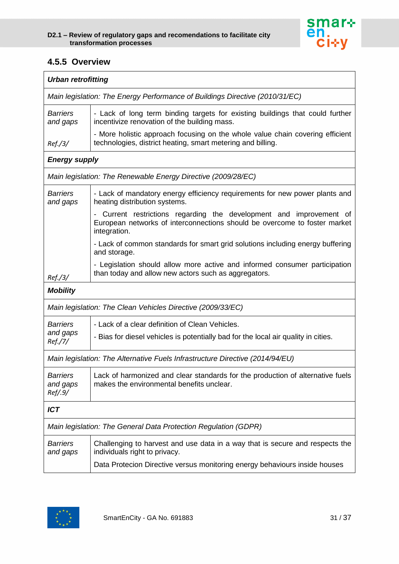

## <span id="page-30-0"></span>**4.5.5 Overview**

| <b>Urban retrofitting</b>                                                    |                                                                                                                                                                  |  |
|------------------------------------------------------------------------------|------------------------------------------------------------------------------------------------------------------------------------------------------------------|--|
| Main legislation: The Energy Performance of Buildings Directive (2010/31/EC) |                                                                                                                                                                  |  |
| <b>Barriers</b><br>and gaps                                                  | - Lack of long term binding targets for existing buildings that could further<br>incentivize renovation of the building mass.                                    |  |
| Ref./3/                                                                      | - More holistic approach focusing on the whole value chain covering efficient<br>technologies, district heating, smart metering and billing.                     |  |
| <b>Energy supply</b>                                                         |                                                                                                                                                                  |  |
|                                                                              | Main legislation: The Renewable Energy Directive (2009/28/EC)                                                                                                    |  |
| <b>Barriers</b><br>and gaps                                                  | - Lack of mandatory energy efficiency requirements for new power plants and<br>heating distribution systems.                                                     |  |
|                                                                              | - Current restrictions regarding the development and improvement of<br>European networks of interconnections should be overcome to foster market<br>integration. |  |
|                                                                              | - Lack of common standards for smart grid solutions including energy buffering<br>and storage.                                                                   |  |
| Ref./3/                                                                      | - Legislation should allow more active and informed consumer participation<br>than today and allow new actors such as aggregators.                               |  |
| <b>Mobility</b>                                                              |                                                                                                                                                                  |  |
|                                                                              | Main legislation: The Clean Vehicles Directive (2009/33/EC)                                                                                                      |  |
| <b>Barriers</b>                                                              | - Lack of a clear definition of Clean Vehicles.                                                                                                                  |  |
| and gaps<br>Ref./7/                                                          | - Bias for diesel vehicles is potentially bad for the local air quality in cities.                                                                               |  |
|                                                                              | Main legislation: The Alternative Fuels Infrastructure Directive (2014/94/EU)                                                                                    |  |
| <b>Barriers</b><br>and gaps<br>Ref/.9/                                       | Lack of harmonized and clear standards for the production of alternative fuels<br>makes the environmental benefits unclear.                                      |  |
| <b>ICT</b>                                                                   |                                                                                                                                                                  |  |
| Main legislation: The General Data Protection Regulation (GDPR)              |                                                                                                                                                                  |  |
| <b>Barriers</b><br>and gaps                                                  | Challenging to harvest and use data in a way that is secure and respects the<br>individuals right to privacy.                                                    |  |
|                                                                              | Data Protecion Directive versus monitoring energy behaviours inside houses                                                                                       |  |

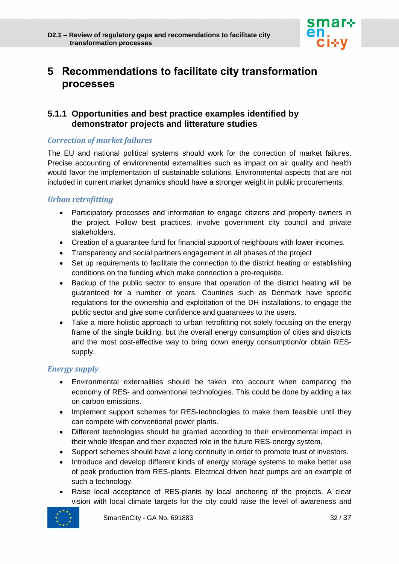

# <span id="page-31-0"></span>**5 Recommendations to facilitate city transformation processes**

## <span id="page-31-1"></span>**5.1.1 Opportunities and best practice examples identified by demonstrator projects and litterature studies**

#### *Correction of market failures*

The EU and national political systems should work for the correction of market failures. Precise accounting of environmental externalities such as impact on air quality and health would favor the implementation of sustainable solutions. Environmental aspects that are not included in current market dynamics should have a stronger weight in public procurements.

#### *Urban retrofitting*

- Participatory processes and information to engage citizens and property owners in the project. Follow best practices, involve government city council and private stakeholders.
- Creation of a guarantee fund for financial support of neighbours with lower incomes.
- Transparency and social partners engagement in all phases of the project
- Set up requirements to facilitate the connection to the district heating or establishing conditions on the funding which make connection a pre-requisite.
- Backup of the public sector to ensure that operation of the district heating will be guaranteed for a number of years. Countries such as Denmark have specific regulations for the ownership and exploitation of the DH installations, to engage the public sector and give some confidence and guarantees to the users.
- Take a more holistic approach to urban retrofitting not solely focusing on the energy frame of the single building, but the overall energy consumption of cities and districts and the most cost-effective way to bring down energy consumption/or obtain RESsupply.

#### *Energy supply*

- Environmental externalities should be taken into account when comparing the economy of RES- and conventional technologies. This could be done by adding a tax on carbon emissions.
- Implement support schemes for RES-technologies to make them feasible until they can compete with conventional power plants.
- Different technologies should be granted according to their environmental impact in their whole lifespan and their expected role in the future RES-energy system.
- Support schemes should have a long continuity in order to promote trust of investors.
- Introduce and develop different kinds of energy storage systems to make better use of peak production from RES-plants. Electrical driven heat pumps are an example of such a technology.
- Raise local acceptance of RES-plants by local anchoring of the projects. A clear vision with local climate targets for the city could raise the level of awareness and

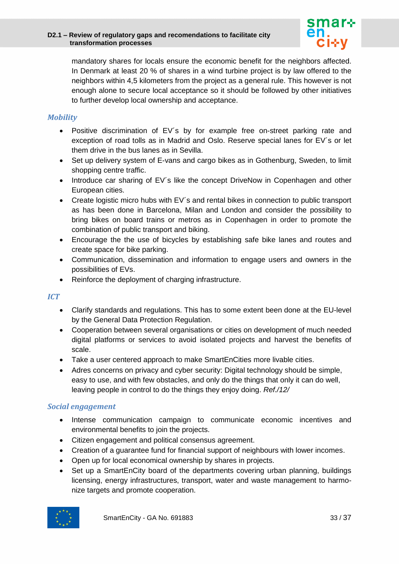

mandatory shares for locals ensure the economic benefit for the neighbors affected. In Denmark at least 20 % of shares in a wind turbine project is by law offered to the neighbors within 4,5 kilometers from the project as a general rule. This however is not enough alone to secure local acceptance so it should be followed by other initiatives to further develop local ownership and acceptance.

#### *Mobility*

- Positive discrimination of EV´s by for example free on-street parking rate and exception of road tolls as in Madrid and Oslo. Reserve special lanes for EV´s or let them drive in the bus lanes as in Sevilla.
- Set up delivery system of E-vans and cargo bikes as in Gothenburg, Sweden, to limit shopping centre traffic.
- Introduce car sharing of EV's like the concept DriveNow in Copenhagen and other European cities.
- Create logistic micro hubs with EV's and rental bikes in connection to public transport as has been done in Barcelona, Milan and London and consider the possibility to bring bikes on board trains or metros as in Copenhagen in order to promote the combination of public transport and biking.
- Encourage the the use of bicycles by establishing safe bike lanes and routes and create space for bike parking.
- Communication, dissemination and information to engage users and owners in the possibilities of EVs.
- Reinforce the deployment of charging infrastructure.

#### *ICT*

- Clarify standards and regulations. This has to some extent been done at the EU-level by the General Data Protection Regulation.
- Cooperation between several organisations or cities on development of much needed digital platforms or services to avoid isolated projects and harvest the benefits of scale.
- Take a user centered approach to make SmartEnCities more livable cities.
- Adres concerns on privacy and cyber security: Digital technology should be simple, easy to use, and with few obstacles, and only do the things that only it can do well, leaving people in control to do the things they enjoy doing. *Ref./12/*

#### *Social engagement*

- Intense communication campaign to communicate economic incentives and environmental benefits to join the projects.
- Citizen engagement and political consensus agreement.
- Creation of a guarantee fund for financial support of neighbours with lower incomes.
- Open up for local economical ownership by shares in projects.
- Set up a SmartEnCity board of the departments covering urban planning, buildings licensing, energy infrastructures, transport, water and waste management to harmonize targets and promote cooperation.

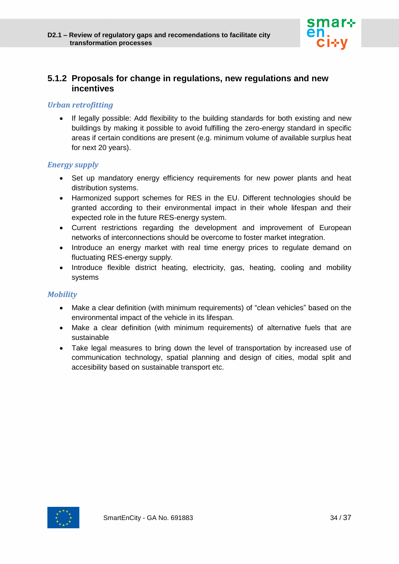

## <span id="page-33-0"></span>**5.1.2 Proposals for change in regulations, new regulations and new incentives**

#### *Urban retrofitting*

• If legally possible: Add flexibility to the building standards for both existing and new buildings by making it possible to avoid fulfilling the zero-energy standard in specific areas if certain conditions are present (e.g. minimum volume of available surplus heat for next 20 years).

#### *Energy supply*

- Set up mandatory energy efficiency requirements for new power plants and heat distribution systems.
- Harmonized support schemes for RES in the EU. Different technologies should be granted according to their environmental impact in their whole lifespan and their expected role in the future RES-energy system.
- Current restrictions regarding the development and improvement of European networks of interconnections should be overcome to foster market integration.
- Introduce an energy market with real time energy prices to regulate demand on fluctuating RES-energy supply.
- Introduce flexible district heating, electricity, gas, heating, cooling and mobility systems

#### *Mobility*

- Make a clear definition (with minimum requirements) of "clean vehicles" based on the environmental impact of the vehicle in its lifespan.
- Make a clear definition (with minimum requirements) of alternative fuels that are sustainable
- Take legal measures to bring down the level of transportation by increased use of communication technology, spatial planning and design of cities, modal split and accesibility based on sustainable transport etc.

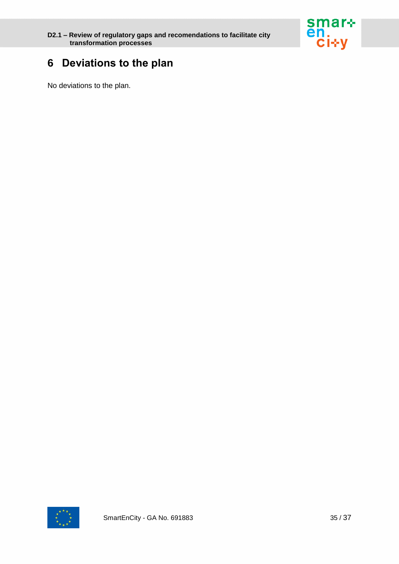

# <span id="page-34-0"></span>**6 Deviations to the plan**

No deviations to the plan.

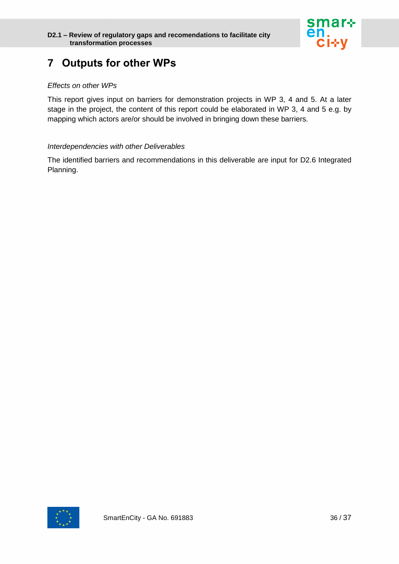

# <span id="page-35-0"></span>**7 Outputs for other WPs**

#### *Effects on other WPs*

This report gives input on barriers for demonstration projects in WP 3, 4 and 5. At a later stage in the project, the content of this report could be elaborated in WP 3, 4 and 5 e.g. by mapping which actors are/or should be involved in bringing down these barriers.

#### *Interdependencies with other Deliverables*

The identified barriers and recommendations in this deliverable are input for D2.6 Integrated Planning.